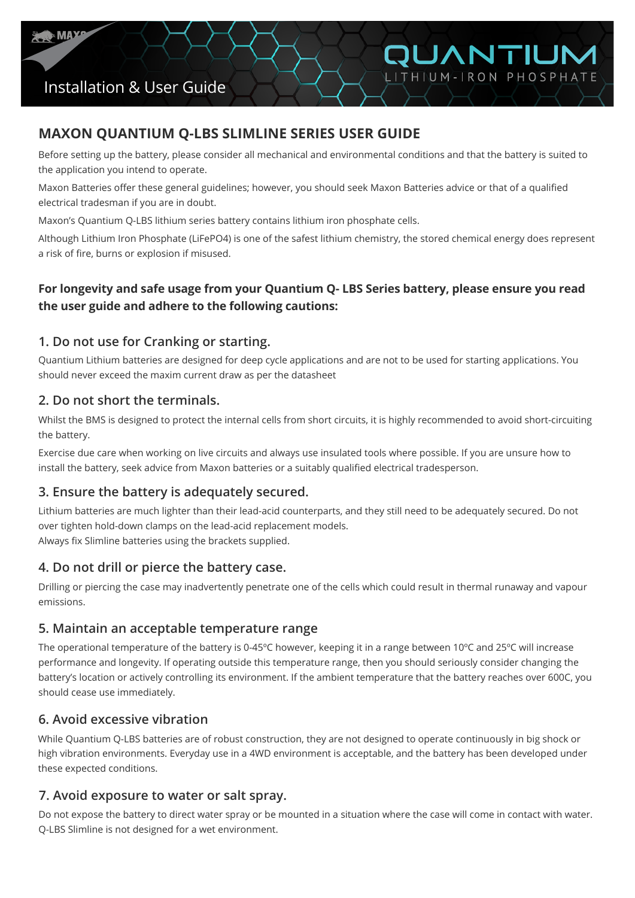

## Installation & User Guide

### **MAXON QUANTIUM Q-LBS SLIMLINE SERIES USER GUIDE**

Before setting up the battery, please consider all mechanical and environmental conditions and that the battery is suited to the application you intend to operate.

QUANTIUM LITHIUM-IRON PHOSPHATE

 Maxon Batteries offer these general guidelines; however, you should seek Maxon Batteries advice or that of a qualified electrical tradesman if you are in doubt.

Maxon's Quantium Q-LBS lithium series battery contains lithium iron phosphate cells.

Although Lithium Iron Phosphate (LiFePO4) is one of the safest lithium chemistry, the stored chemical energy does represent a risk of fire, burns or explosion if misused.

### **For longevity and safe usage from your Quantium Q- LBS Series battery, please ensure you read the user guide and adhere to the following cautions:**

#### **1. Do not use for Cranking or starting.**

Quantium Lithium batteries are designed for deep cycle applications and are not to be used for starting applications. You should never exceed the maxim current draw as per the datasheet

### **2. Do not short the terminals.**

Whilst the BMS is designed to protect the internal cells from short circuits, it is highly recommended to avoid short-circuiting the battery.

Exercise due care when working on live circuits and always use insulated tools where possible. If you are unsure how to install the battery, seek advice from Maxon batteries or a suitably qualified electrical tradesperson.

#### **3. Ensure the battery is adequately secured.**

Lithium batteries are much lighter than their lead-acid counterparts, and they still need to be adequately secured. Do not over tighten hold-down clamps on the lead-acid replacement models. Always fix Slimline batteries using the brackets supplied.

### **4. Do not drill or pierce the battery case.**

Drilling or piercing the case may inadvertently penetrate one of the cells which could result in thermal runaway and vapour emissions.

#### **5. Maintain an acceptable temperature range**

The operational temperature of the battery is 0-45ºC however, keeping it in a range between 10ºC and 25ºC will increase performance and longevity. If operating outside this temperature range, then you should seriously consider changing the battery's location or actively controlling its environment. If the ambient temperature that the battery reaches over 600C, you should cease use immediately.

#### **6. Avoid excessive vibration**

While Quantium Q-LBS batteries are of robust construction, they are not designed to operate continuously in big shock or high vibration environments. Everyday use in a 4WD environment is acceptable, and the battery has been developed under these expected conditions.

#### **7. Avoid exposure to water or salt spray.**

Do not expose the battery to direct water spray or be mounted in a situation where the case will come in contact with water. Q-LBS Slimline is not designed for a wet environment.